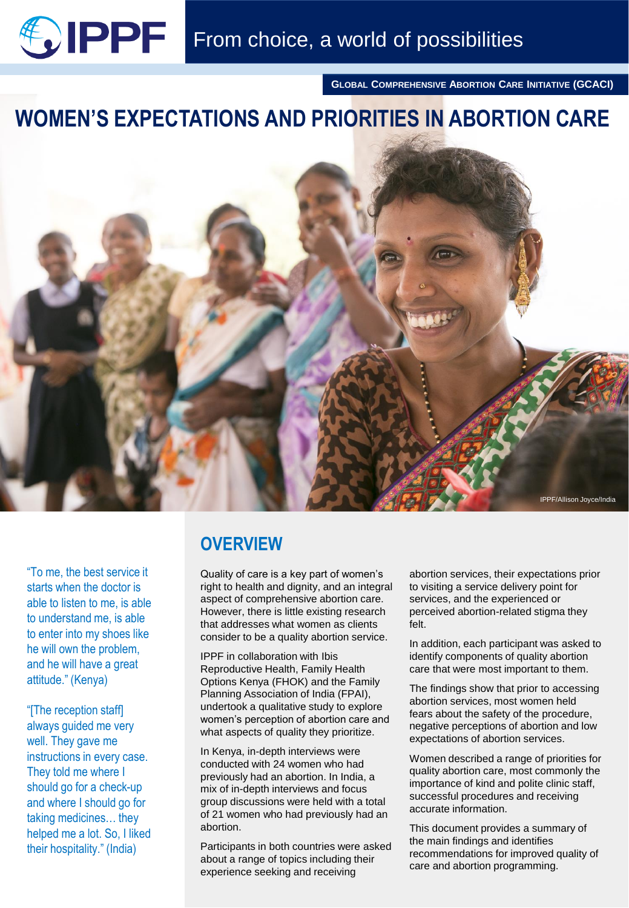

**GLOBAL COMPREHENSIVE ABORTION CARE INITIATIVE (GCACI)**

# **WOMEN'S EXPECTATIONS AND PRIORITIES IN ABORTION CARE**



"To me, the best service it starts when the doctor is able to listen to me, is able to understand me, is able to enter into my shoes like he will own the problem, and he will have a great attitude." (Kenya)

"[The reception staff] always guided me very well. They gave me instructions in every case. They told me where I should go for a check-up and where I should go for taking medicines… they helped me a lot. So, I liked their hospitality." (India)

# **OVERVIEW**

Quality of care is a key part of women's right to health and dignity, and an integral aspect of comprehensive abortion care. However, there is little existing research that addresses what women as clients consider to be a quality abortion service.

IPPF in collaboration with Ibis Reproductive Health, Family Health Options Kenya (FHOK) and the Family Planning Association of India (FPAI), undertook a qualitative study to explore women's perception of abortion care and what aspects of quality they prioritize.

In Kenya, in-depth interviews were conducted with 24 women who had previously had an abortion. In India, a mix of in-depth interviews and focus group discussions were held with a total of 21 women who had previously had an abortion.

Participants in both countries were asked about a range of topics including their experience seeking and receiving

abortion services, their expectations prior to visiting a service delivery point for services, and the experienced or perceived abortion-related stigma they felt.

In addition, each participant was asked to identify components of quality abortion care that were most important to them.

The findings show that prior to accessing abortion services, most women held fears about the safety of the procedure, negative perceptions of abortion and low expectations of abortion services.

Women described a range of priorities for quality abortion care, most commonly the importance of kind and polite clinic staff, successful procedures and receiving accurate information.

This document provides a summary of the main findings and identifies recommendations for improved quality of care and abortion programming.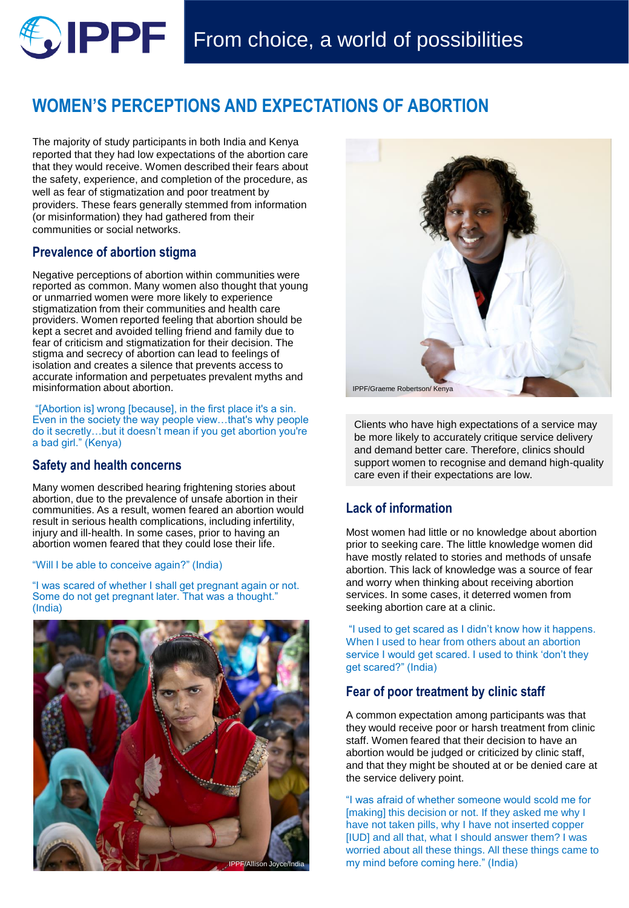# **WOMEN'S PERCEPTIONS AND EXPECTATIONS OF ABORTION**

The majority of study participants in both India and Kenya reported that they had low expectations of the abortion care that they would receive. Women described their fears about the safety, experience, and completion of the procedure, as well as fear of stigmatization and poor treatment by providers. These fears generally stemmed from information (or misinformation) they had gathered from their communities or social networks.

### **Prevalence of abortion stigma**

Negative perceptions of abortion within communities were reported as common. Many women also thought that young or unmarried women were more likely to experience stigmatization from their communities and health care providers. Women reported feeling that abortion should be kept a secret and avoided telling friend and family due to fear of criticism and stigmatization for their decision. The stigma and secrecy of abortion can lead to feelings of isolation and creates a silence that prevents access to accurate information and perpetuates prevalent myths and misinformation about abortion.

"[Abortion is] wrong [because], in the first place it's a sin. Even in the society the way people view…that's why people do it secretly…but it doesn't mean if you get abortion you're a bad girl." (Kenya)

#### **Safety and health concerns**

Many women described hearing frightening stories about abortion, due to the prevalence of unsafe abortion in their communities. As a result, women feared an abortion would result in serious health complications, including infertility, injury and ill-health. In some cases, prior to having an abortion women feared that they could lose their life.

#### "Will I be able to conceive again?" (India)

"I was scared of whether I shall get pregnant again or not. Some do not get pregnant later. That was a thought." (India)





Clients who have high expectations of a service may be more likely to accurately critique service delivery and demand better care. Therefore, clinics should support women to recognise and demand high-quality care even if their expectations are low.

# **Lack of information**

Most women had little or no knowledge about abortion prior to seeking care. The little knowledge women did have mostly related to stories and methods of unsafe abortion. This lack of knowledge was a source of fear and worry when thinking about receiving abortion services. In some cases, it deterred women from seeking abortion care at a clinic.

"I used to get scared as I didn't know how it happens. When I used to hear from others about an abortion service I would get scared. I used to think 'don't they get scared?" (India)

## **Fear of poor treatment by clinic staff**

A common expectation among participants was that they would receive poor or harsh treatment from clinic staff. Women feared that their decision to have an abortion would be judged or criticized by clinic staff, and that they might be shouted at or be denied care at the service delivery point.

"I was afraid of whether someone would scold me for [making] this decision or not. If they asked me why I have not taken pills, why I have not inserted copper [IUD] and all that, what I should answer them? I was worried about all these things. All these things came to my mind before coming here." (India)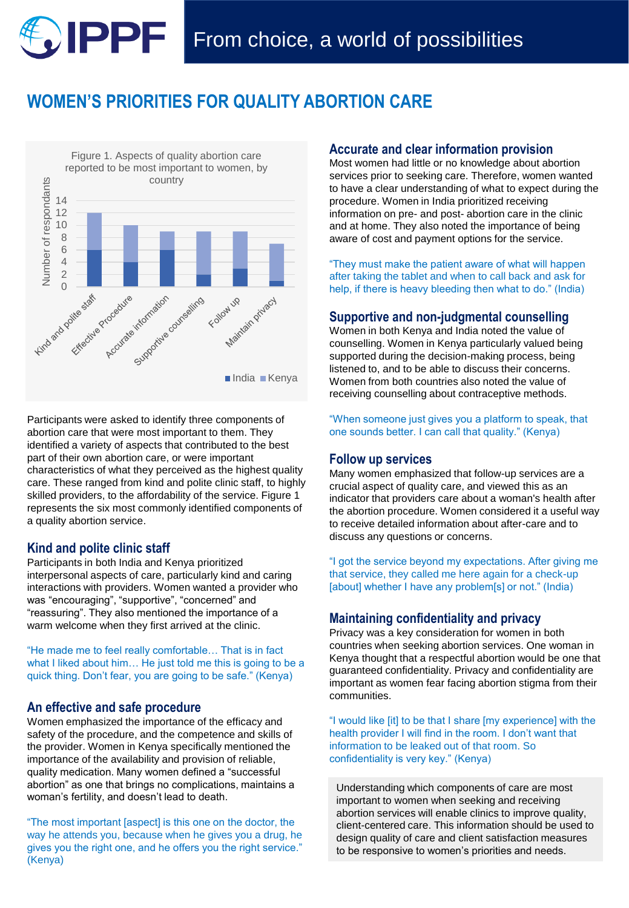# **WOMEN'S PRIORITIES FOR QUALITY ABORTION CARE**



Participants were asked to identify three components of abortion care that were most important to them. They identified a variety of aspects that contributed to the best part of their own abortion care, or were important characteristics of what they perceived as the highest quality care. These ranged from kind and polite clinic staff, to highly skilled providers, to the affordability of the service. Figure 1 represents the six most commonly identified components of a quality abortion service.

#### **Kind and polite clinic staff**

Participants in both India and Kenya prioritized interpersonal aspects of care, particularly kind and caring interactions with providers. Women wanted a provider who was "encouraging", "supportive", "concerned" and "reassuring". They also mentioned the importance of a warm welcome when they first arrived at the clinic.

"He made me to feel really comfortable… That is in fact what I liked about him… He just told me this is going to be a quick thing. Don't fear, you are going to be safe." (Kenya)

#### **An effective and safe procedure**

Women emphasized the importance of the efficacy and safety of the procedure, and the competence and skills of the provider. Women in Kenya specifically mentioned the importance of the availability and provision of reliable, quality medication. Many women defined a "successful abortion" as one that brings no complications, maintains a woman's fertility, and doesn't lead to death.

"The most important [aspect] is this one on the doctor, the way he attends you, because when he gives you a drug, he gives you the right one, and he offers you the right service." (Kenya)

#### **Accurate and clear information provision**

Most women had little or no knowledge about abortion services prior to seeking care. Therefore, women wanted to have a clear understanding of what to expect during the procedure. Women in India prioritized receiving information on pre- and post- abortion care in the clinic and at home. They also noted the importance of being aware of cost and payment options for the service.

"They must make the patient aware of what will happen after taking the tablet and when to call back and ask for help, if there is heavy bleeding then what to do." (India)

#### **Supportive and non-judgmental counselling**

Women in both Kenya and India noted the value of counselling. Women in Kenya particularly valued being supported during the decision-making process, being listened to, and to be able to discuss their concerns. Women from both countries also noted the value of receiving counselling about contraceptive methods.

"When someone just gives you a platform to speak, that one sounds better. I can call that quality." (Kenya)

#### **Follow up services**

Many women emphasized that follow-up services are a crucial aspect of quality care, and viewed this as an indicator that providers care about a woman's health after the abortion procedure. Women considered it a useful way to receive detailed information about after-care and to discuss any questions or concerns.

"I got the service beyond my expectations. After giving me that service, they called me here again for a check-up [about] whether I have any problem[s] or not." (India)

#### **Maintaining confidentiality and privacy**

Privacy was a key consideration for women in both countries when seeking abortion services. One woman in Kenya thought that a respectful abortion would be one that guaranteed confidentiality. Privacy and confidentiality are important as women fear facing abortion stigma from their communities.

"I would like [it] to be that I share [my experience] with the health provider I will find in the room. I don't want that information to be leaked out of that room. So confidentiality is very key." (Kenya)

Understanding which components of care are most important to women when seeking and receiving abortion services will enable clinics to improve quality, client-centered care. This information should be used to design quality of care and client satisfaction measures to be responsive to women's priorities and needs.